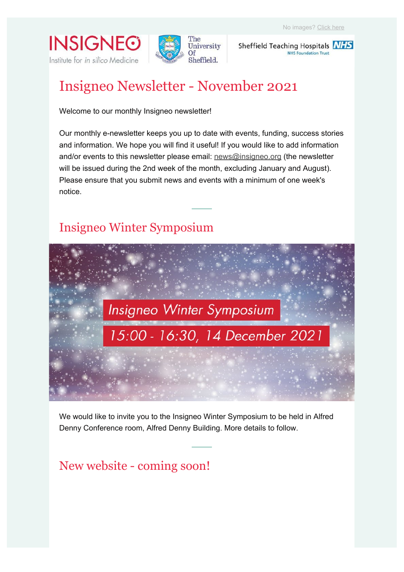**INSIGNEO** Institute for in silico Medicine



Sheffield Teaching Hospitals **NHS NHS Foundation Trust** 

# Insigneo Newsletter - November 2021

Welcome to our monthly Insigneo newsletter!

Our monthly e-newsletter keeps you up to date with events, funding, success stories and information. We hope you will find it useful! If you would like to add information and/or events to this newsletter please email: news@insigneo.org (the newsletter will be issued during the 2nd week of the month, excluding January and August). Please ensure that you submit news and events with a minimum of one week's notice.

## Insigneo Winter Symposium



We would like to invite you to the Insigneo Winter Symposium to be held in Alfred Denny Conference room, Alfred Denny Building. More details to follow.

## New website - coming soon!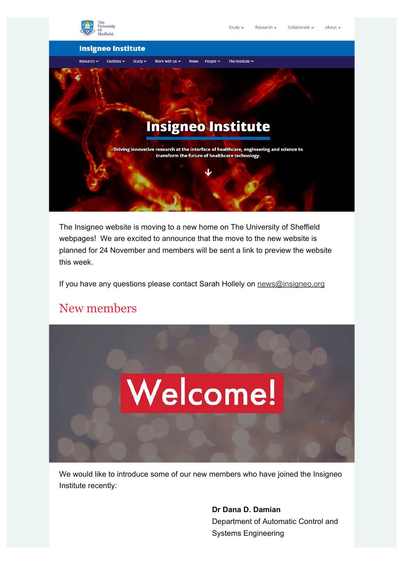

The Insigneo website is moving to a new home on The University of Sheffield webpages! We are excited to announce that the move to the new website is planned for 24 November and members will be sent a link to preview the website this week.

If you have any questions please contact Sarah Hollely on news@insigneo.org

## New members



We would like to introduce some of our new members who have joined the Insigneo Institute recently:

> **Dr Dana D. Damian** Department of Automatic Control and Systems Engineering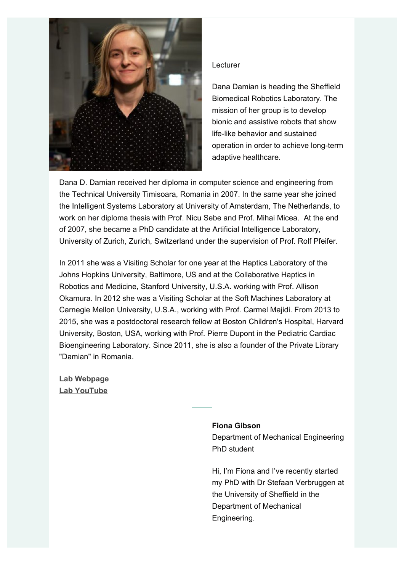

#### **Lecturer**

Dana Damian is heading the Sheffield Biomedical Robotics Laboratory. The mission of her group is to develop bionic and assistive robots that show life-like behavior and sustained operation in order to achieve long-term adaptive healthcare.

Dana D. Damian received her diploma in computer science and engineering from the Technical University Timisoara, Romania in 2007. In the same year she joined the Intelligent Systems Laboratory at University of Amsterdam, The Netherlands, to work on her diploma thesis with Prof. Nicu Sebe and Prof. Mihai Micea. At the end of 2007, she became a PhD candidate at the Artificial Intelligence Laboratory, University of Zurich, Zurich, Switzerland under the supervision of Prof. Rolf Pfeifer.

In 2011 she was a Visiting Scholar for one year at the Haptics Laboratory of the Johns Hopkins University, Baltimore, US and at the Collaborative Haptics in Robotics and Medicine, Stanford University, U.S.A. working with Prof. Allison Okamura. In 2012 she was a Visiting Scholar at the Soft Machines Laboratory at Carnegie Mellon University, U.S.A., working with Prof. Carmel Majidi. From 2013 to 2015, she was a postdoctoral research fellow at Boston Children's Hospital, Harvard University, Boston, USA, working with Prof. Pierre Dupont in the Pediatric Cardiac Bioengineering Laboratory. Since 2011, she is also a founder of the Private Library "Damian" in Romania.

**Lab Webpage Lab YouTube**

### **Fiona Gibson**

Department of Mechanical Engineering PhD student

Hi, I'm Fiona and I've recently started my PhD with Dr Stefaan Verbruggen at the University of Sheffield in the Department of Mechanical Engineering.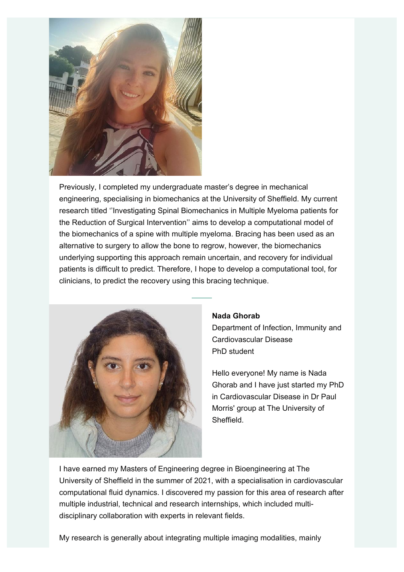

Previously, I completed my undergraduate master's degree in mechanical engineering, specialising in biomechanics at the University of Sheffield. My current research titled ''Investigating Spinal Biomechanics in Multiple Myeloma patients for the Reduction of Surgical Intervention'' aims to develop a computational model of the biomechanics of a spine with multiple myeloma. Bracing has been used as an alternative to surgery to allow the bone to regrow, however, the biomechanics underlying supporting this approach remain uncertain, and recovery for individual patients is difficult to predict. Therefore, I hope to develop a computational tool, for clinicians, to predict the recovery using this bracing technique.



#### **Nada Ghorab**

Department of Infection, Immunity and Cardiovascular Disease PhD student

Hello everyone! My name is Nada Ghorab and I have just started my PhD in Cardiovascular Disease in Dr Paul Morris' group at The University of **Sheffield** 

I have earned my Masters of Engineering degree in Bioengineering at The University of Sheffield in the summer of 2021, with a specialisation in cardiovascular computational fluid dynamics. I discovered my passion for this area of research after multiple industrial, technical and research internships, which included multidisciplinary collaboration with experts in relevant fields.

My research is generally about integrating multiple imaging modalities, mainly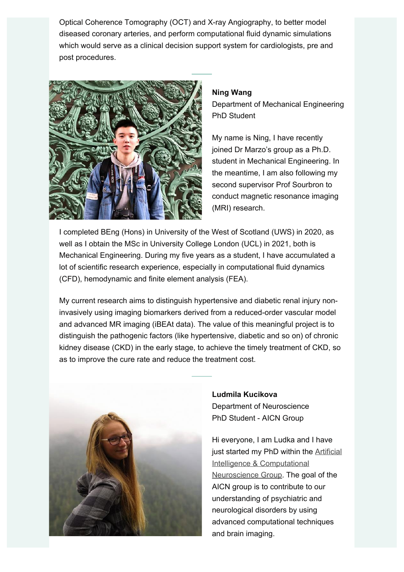Optical Coherence Tomography (OCT) and X-ray Angiography, to better model diseased coronary arteries, and perform computational fluid dynamic simulations which would serve as a clinical decision support system for cardiologists, pre and post procedures.



#### **Ning Wang**

Department of Mechanical Engineering PhD Student

My name is Ning, I have recently joined Dr Marzo's group as a Ph.D. student in Mechanical Engineering. In the meantime, I am also following my second supervisor Prof Sourbron to conduct magnetic resonance imaging (MRI) research.

I completed BEng (Hons) in University of the West of Scotland (UWS) in 2020, as well as I obtain the MSc in University College London (UCL) in 2021, both is Mechanical Engineering. During my five years as a student, I have accumulated a lot of scientific research experience, especially in computational fluid dynamics (CFD), hemodynamic and finite element analysis (FEA).

My current research aims to distinguish hypertensive and diabetic renal injury noninvasively using imaging biomarkers derived from a reduced-order vascular model and advanced MR imaging (iBEAt data). The value of this meaningful project is to distinguish the pathogenic factors (like hypertensive, diabetic and so on) of chronic kidney disease (CKD) in the early stage, to achieve the timely treatment of CKD, so as to improve the cure rate and reduce the treatment cost.



**Ludmila Kucikova** Department of Neuroscience PhD Student - AICN Group

Hi everyone, I am Ludka and I have just started my PhD within the Artificial Intelligence & Computational Neuroscience Group. The goal of the AICN group is to contribute to our understanding of psychiatric and neurological disorders by using advanced computational techniques and brain imaging.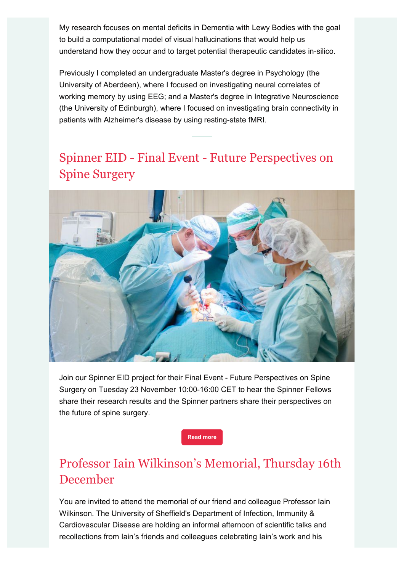My research focuses on mental deficits in Dementia with Lewy Bodies with the goal to build a computational model of visual hallucinations that would help us understand how they occur and to target potential therapeutic candidates in-silico.

Previously I completed an undergraduate Master's degree in Psychology (the University of Aberdeen), where I focused on investigating neural correlates of working memory by using EEG; and a Master's degree in Integrative Neuroscience (the University of Edinburgh), where I focused on investigating brain connectivity in patients with Alzheimer's disease by using resting-state fMRI.

## Spinner EID - Final Event - Future Perspectives on Spine Surgery



Join our Spinner EID project for their Final Event - Future Perspectives on Spine Surgery on Tuesday 23 November 10:00-16:00 CET to hear the Spinner Fellows share their research results and the Spinner partners share their perspectives on the future of spine surgery.

**Read more**

## Professor Iain Wilkinson's Memorial, Thursday 16th December

You are invited to attend the memorial of our friend and colleague Professor Iain Wilkinson. The University of Sheffield's Department of Infection, Immunity & Cardiovascular Disease are holding an informal afternoon of scientific talks and recollections from Iain's friends and colleagues celebrating Iain's work and his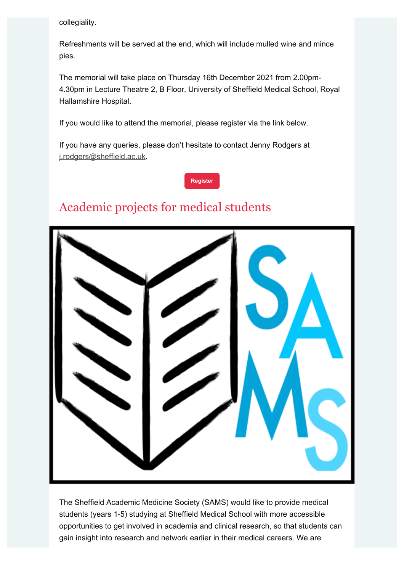collegiality.

Refreshments will be served at the end, which will include mulled wine and mince pies.

The memorial will take place on Thursday 16th December 2021 from 2.00pm-4.30pm in Lecture Theatre 2, B Floor, University of Sheffield Medical School, Royal Hallamshire Hospital.

If you would like to attend the memorial, please register via the link below.

If you have any queries, please don't hesitate to contact Jenny Rodgers at j.rodgers@sheffield.ac.uk.

#### **Register**

## Academic projects for medical students



The Sheffield Academic Medicine Society (SAMS) would like to provide medical students (years 1-5) studying at Sheffield Medical School with more accessible opportunities to get involved in academia and clinical research, so that students can gain insight into research and network earlier in their medical careers. We are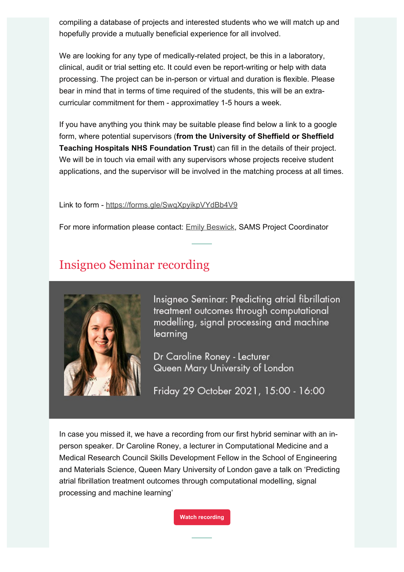compiling a database of projects and interested students who we will match up and hopefully provide a mutually beneficial experience for all involved.

We are looking for any type of medically-related project, be this in a laboratory, clinical, audit or trial setting etc. It could even be report-writing or help with data processing. The project can be in-person or virtual and duration is flexible. Please bear in mind that in terms of time required of the students, this will be an extracurricular commitment for them - approximatley 1-5 hours a week.

If you have anything you think may be suitable please find below a link to a google form, where potential supervisors (**from the University of Sheffield or Sheffield Teaching Hospitals NHS Foundation Trust**) can fill in the details of their project. We will be in touch via email with any supervisors whose projects receive student applications, and the supervisor will be involved in the matching process at all times.

Link to form - https://forms.gle/SwqXpyikpVYdBb4V9

For more information please contact: Emily Beswick, SAMS Project Coordinator

## Insigneo Seminar recording



Insigneo Seminar: Predicting atrial fibrillation treatment outcomes through computational modelling, signal processing and machine learning

Dr Caroline Roney - Lecturer Queen Mary University of London

Friday 29 October 2021, 15:00 - 16:00

In case you missed it, we have a recording from our first hybrid seminar with an inperson speaker. Dr Caroline Roney, a lecturer in Computational Medicine and a Medical Research Council Skills Development Fellow in the School of Engineering and Materials Science, Queen Mary University of London gave a talk on 'Predicting atrial fibrillation treatment outcomes through computational modelling, signal processing and machine learning'

**Watch recording**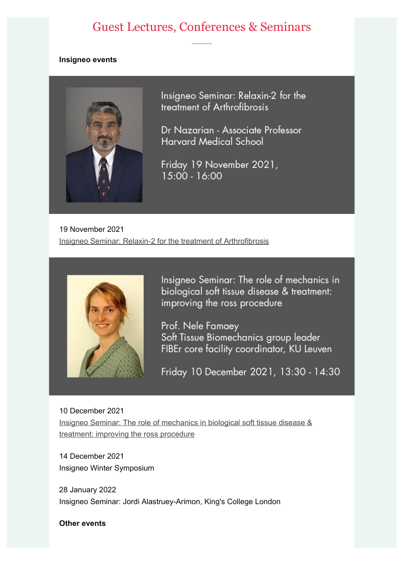## Guest Lectures, Conferences & Seminars

#### **Insigneo events**



Insigneo Seminar: Relaxin-2 for the treatment of Arthrofibrosis

Dr Nazarian - Associate Professor **Harvard Medical School** 

Friday 19 November 2021,  $15:00 - 16:00$ 

19 November 2021 Insigneo Seminar: Relaxin-2 for the treatment of Arthrofibrosis



Insigneo Seminar: The role of mechanics in biological soft tissue disease & treatment: improving the ross procedure

Prof. Nele Famaey Soft Tissue Biomechanics group leader FIBEr core facility coordinator, KU Leuven

Friday 10 December 2021, 13:30 - 14:30

10 December 2021 Insigneo Seminar: The role of mechanics in biological soft tissue disease & treatment: improving the ross procedure

14 December 2021 Insigneo Winter Symposium

28 January 2022 Insigneo Seminar: Jordi Alastruey-Arimon, King's College London

**Other events**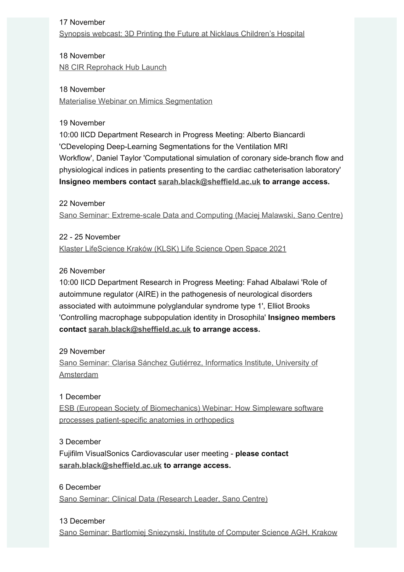### 17 November

Synopsis webcast: 3D Printing the Future at Nicklaus Children's Hospital

18 November N8 CIR Reprohack Hub Launch

18 November Materialise Webinar on Mimics Segmentation

### 19 November

10:00 IICD Department Research in Progress Meeting: Alberto Biancardi 'CDeveloping Deep-Learning Segmentations for the Ventilation MRI Workflow', Daniel Taylor 'Computational simulation of coronary side-branch flow and physiological indices in patients presenting to the cardiac catheterisation laboratory' **Insigneo members contact sarah.black@sheffield.ac.uk to arrange access.**

### 22 November

Sano Seminar: Extreme-scale Data and Computing (Maciej Malawski, Sano Centre)

### 22 - 25 November

Klaster LifeScience Kraków (KLSK) Life Science Open Space 2021

### 26 November

10:00 IICD Department Research in Progress Meeting: Fahad Albalawi 'Role of autoimmune regulator (AIRE) in the pathogenesis of neurological disorders associated with autoimmune polyglandular syndrome type 1', Elliot Brooks 'Controlling macrophage subpopulation identity in Drosophila' **Insigneo members contact sarah.black@sheffield.ac.uk to arrange access.**

### 29 November

Sano Seminar: Clarisa Sánchez Gutiérrez, Informatics Institute, University of Amsterdam

### 1 December

ESB (European Society of Biomechanics) Webinar: How Simpleware software processes patient-specific anatomies in orthopedics

### 3 December

Fujifilm VisualSonics Cardiovascular user meeting - **please contact sarah.black@sheffield.ac.uk to arrange access.**

## 6 December

Sano Seminar: Clinical Data (Research Leader, Sano Centre)

### 13 December

Sano Seminar: Bartlomiej Sniezynski, Institute of Computer Science AGH, Krakow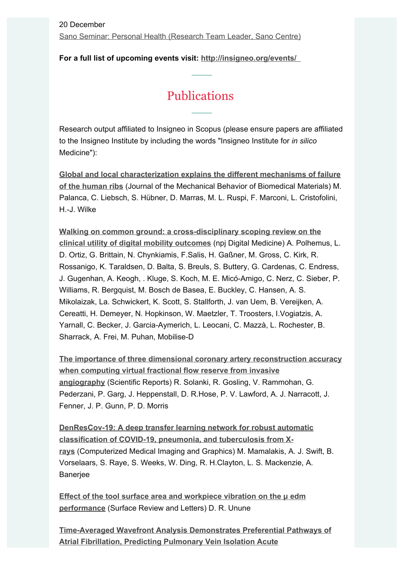**For a full list of upcoming events visit: http://insigneo.org/events/** 

## Publications

Research output affiliated to Insigneo in Scopus (please ensure papers are affiliated to the Insigneo Institute by including the words "Insigneo Institute for *in silico* Medicine"):

**Global and local characterization explains the different mechanisms of failure of the human ribs** (Journal of the Mechanical Behavior of Biomedical Materials) M. Palanca, C. Liebsch, S. Hübner, D. Marras, M. L. Ruspi, F. Marconi, L. Cristofolini, H.-J. Wilke

**Walking on common ground: a cross-disciplinary scoping review on the clinical utility of digital mobility outcomes** (npj Digital Medicine) A. Polhemus, L. D. Ortiz, G. Brittain, N. Chynkiamis, F.Salis, H. Gaßner, M. Gross, C. Kirk, R. Rossanigo, K. Taraldsen, D. Balta, S. Breuls, S. Buttery, G. Cardenas, C. Endress, J. Gugenhan, A. Keogh, . Kluge, S. Koch, M. E. Micó-Amigo, C. Nerz, C. Sieber, P. Williams, R. Bergquist, M. Bosch de Basea, E. Buckley, C. Hansen, A. S. Mikolaizak, La. Schwickert, K. Scott, S. Stallforth, J. van Uem, B. Vereijken, A. Cereatti, H. Demeyer, N. Hopkinson, W. Maetzler, T. Troosters, I.Vogiatzis, A. Yarnall, C. Becker, J. Garcia-Aymerich, L. Leocani, C. Mazzà, L. Rochester, B. Sharrack, A. Frei, M. Puhan, Mobilise-D

**The importance of three dimensional coronary artery reconstruction accuracy when computing virtual fractional flow reserve from invasive angiography** (Scientific Reports) R. Solanki, R. Gosling, V. Rammohan, G. Pederzani, P. Garg, J. Heppenstall, D. R.Hose, P. V. Lawford, A. J. Narracott, J. Fenner, J. P. Gunn, P. D. Morris

**DenResCov-19: A deep transfer learning network for robust automatic classification of COVID-19, pneumonia, and tuberculosis from Xrays** (Computerized Medical Imaging and Graphics) M. Mamalakis, A. J. Swift, B. Vorselaars, S. Raye, S. Weeks, W. Ding, R. H.Clayton, L. S. Mackenzie, A. **Banerjee** 

**Effect of the tool surface area and workpiece vibration on the μ edm performance** (Surface Review and Letters) D. R. Unune

**Time-Averaged Wavefront Analysis Demonstrates Preferential Pathways of Atrial Fibrillation, Predicting Pulmonary Vein Isolation Acute**